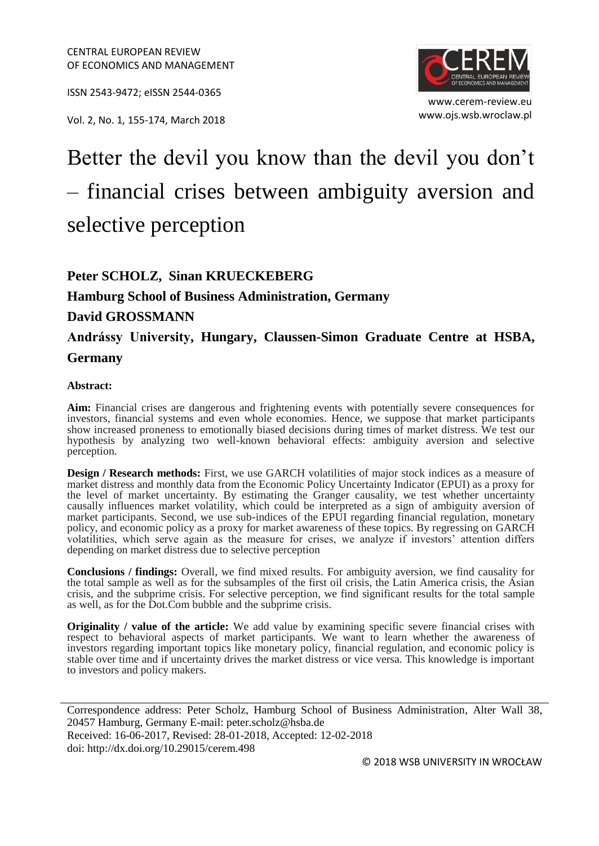ISSN 2543-9472; eISSN 2544-0365

www.ojs.wsb.wroclaw.pl Vol. 2, No. 1, 155-174, March 2018



# Better the devil you know than the devil you don't – financial crises between ambiguity aversion and selective perception

**Peter SCHOLZ, Sinan KRUECKEBERG**

**Hamburg School of Business Administration, Germany**

#### **David GROSSMANN**

**Andrássy University, Hungary, Claussen-Simon Graduate Centre at HSBA, Germany**

#### **Abstract:**

**Aim:** Financial crises are dangerous and frightening events with potentially severe consequences for investors, financial systems and even whole economies. Hence, we suppose that market participants show increased proneness to emotionally biased decisions during times of market distress. We test our hypothesis by analyzing two well-known behavioral effects: ambiguity aversion and selective perception.

**Design / Research methods:** First, we use GARCH volatilities of major stock indices as a measure of market distress and monthly data from the Economic Policy Uncertainty Indicator (EPUI) as a proxy for the level of market uncertainty. By estimating the Granger causality, we test whether uncertainty causally influences market volatility, which could be interpreted as a sign of ambiguity aversion of market participants. Second, we use sub-indices of the EPUI regarding financial regulation, monetary policy, and economic policy as a proxy for market awareness of these topics. By regressing on GARCH volatilities, which serve again as the measure for crises, we analyze if investors' attention differs depending on market distress due to selective perception

**Conclusions / findings:** Overall, we find mixed results. For ambiguity aversion, we find causality for the total sample as well as for the subsamples of the first oil crisis, the Latin America crisis, the Asian crisis, and the subprime crisis. For selective perception, we find significant results for the total sample as well, as for the Dot.Com bubble and the subprime crisis.

**Originality / value of the article:** We add value by examining specific severe financial crises with respect to behavioral aspects of market participants. We want to learn whether the awareness of investors regarding important topics like monetary policy, financial regulation, and economic policy is stable over time and if uncertainty drives the market distress or vice versa. This knowledge is important to investors and policy makers.

Correspondence address: Peter Scholz, Hamburg School of Business Administration, Alter Wall 38, 20457 Hamburg, Germany E-mail: peter.scholz@hsba.de Received: 16-06-2017, Revised: 28-01-2018, Accepted: 12-02-2018 doi: http://dx.doi.org/10.29015/cerem.498

© 2018 WSB UNIVERSITY IN WROCŁAW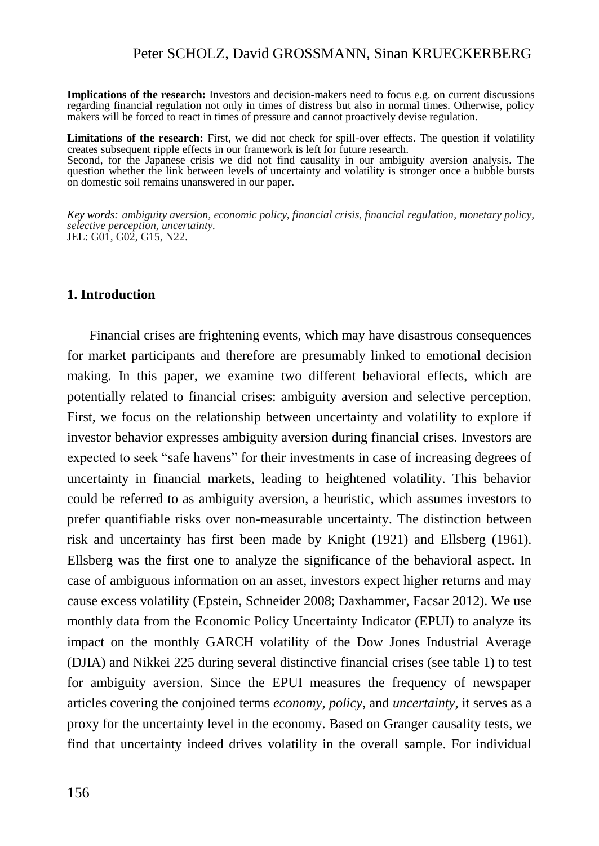**Implications of the research:** Investors and decision-makers need to focus e.g. on current discussions regarding financial regulation not only in times of distress but also in normal times. Otherwise, policy makers will be forced to react in times of pressure and cannot proactively devise regulation.

**Limitations of the research:** First, we did not check for spill-over effects. The question if volatility creates subsequent ripple effects in our framework is left for future research.

Second, for the Japanese crisis we did not find causality in our ambiguity aversion analysis. The question whether the link between levels of uncertainty and volatility is stronger once a bubble bursts on domestic soil remains unanswered in our paper.

*Key words: ambiguity aversion, economic policy, financial crisis, financial regulation, monetary policy, selective perception, uncertainty.* JEL: G01, G02, G15, N22.

#### **1. Introduction**

Financial crises are frightening events, which may have disastrous consequences for market participants and therefore are presumably linked to emotional decision making. In this paper, we examine two different behavioral effects, which are potentially related to financial crises: ambiguity aversion and selective perception. First, we focus on the relationship between uncertainty and volatility to explore if investor behavior expresses ambiguity aversion during financial crises. Investors are expected to seek "safe havens" for their investments in case of increasing degrees of uncertainty in financial markets, leading to heightened volatility. This behavior could be referred to as ambiguity aversion, a heuristic, which assumes investors to prefer quantifiable risks over non-measurable uncertainty. The distinction between risk and uncertainty has first been made by Knight (1921) and Ellsberg (1961). Ellsberg was the first one to analyze the significance of the behavioral aspect. In case of ambiguous information on an asset, investors expect higher returns and may cause excess volatility (Epstein, Schneider 2008; Daxhammer, Facsar 2012). We use monthly data from the Economic Policy Uncertainty Indicator (EPUI) to analyze its impact on the monthly GARCH volatility of the Dow Jones Industrial Average (DJIA) and Nikkei 225 during several distinctive financial crises (see table 1) to test for ambiguity aversion. Since the EPUI measures the frequency of newspaper articles covering the conjoined terms *economy*, *policy*, and *uncertainty*, it serves as a proxy for the uncertainty level in the economy. Based on Granger causality tests, we find that uncertainty indeed drives volatility in the overall sample. For individual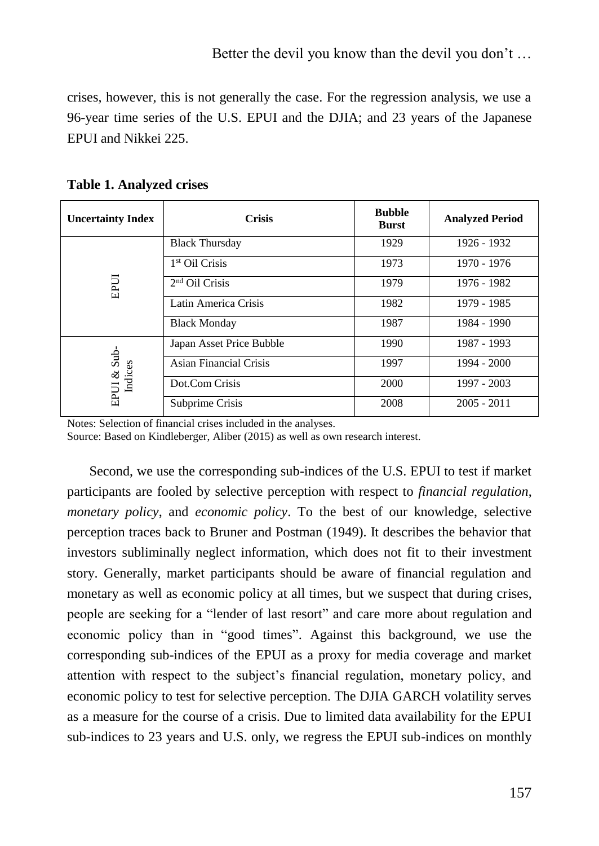crises, however, this is not generally the case. For the regression analysis, we use a 96-year time series of the U.S. EPUI and the DJIA; and 23 years of the Japanese EPUI and Nikkei 225.

| <b>Uncertainty Index</b> | <b>Crisis</b>              | <b>Bubble</b><br><b>Burst</b> | <b>Analyzed Period</b> |
|--------------------------|----------------------------|-------------------------------|------------------------|
|                          | <b>Black Thursday</b>      | 1929                          | 1926 - 1932            |
|                          | 1 <sup>st</sup> Oil Crisis | 1973                          | 1970 - 1976            |
| EPUI                     | 2 <sup>nd</sup> Oil Crisis | 1979                          | 1976 - 1982            |
|                          | Latin America Crisis       | 1982                          | 1979 - 1985            |
|                          | <b>Black Monday</b>        | 1987                          | 1984 - 1990            |
|                          | Japan Asset Price Bubble   | 1990                          | 1987 - 1993            |
| EPUI & Sub-<br>Indices   | Asian Financial Crisis     | 1997                          | 1994 - 2000            |
|                          | Dot.Com Crisis             | 2000                          | 1997 - 2003            |
|                          | Subprime Crisis            | 2008                          | $2005 - 2011$          |

**Table 1. Analyzed crises**

Notes: Selection of financial crises included in the analyses.

Source: Based on Kindleberger, Aliber (2015) as well as own research interest.

Second, we use the corresponding sub-indices of the U.S. EPUI to test if market participants are fooled by selective perception with respect to *financial regulation*, *monetary policy*, and *economic policy*. To the best of our knowledge, selective perception traces back to Bruner and Postman (1949). It describes the behavior that investors subliminally neglect information, which does not fit to their investment story. Generally, market participants should be aware of financial regulation and monetary as well as economic policy at all times, but we suspect that during crises, people are seeking for a "lender of last resort" and care more about regulation and economic policy than in "good times". Against this background, we use the corresponding sub-indices of the EPUI as a proxy for media coverage and market attention with respect to the subject's financial regulation, monetary policy, and economic policy to test for selective perception. The DJIA GARCH volatility serves as a measure for the course of a crisis. Due to limited data availability for the EPUI sub-indices to 23 years and U.S. only, we regress the EPUI sub-indices on monthly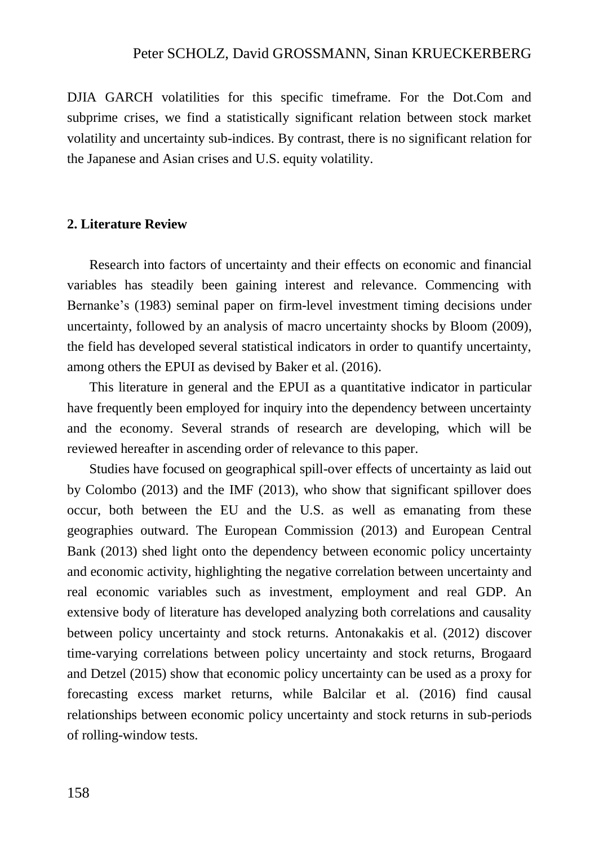DJIA GARCH volatilities for this specific timeframe. For the Dot.Com and subprime crises, we find a statistically significant relation between stock market volatility and uncertainty sub-indices. By contrast, there is no significant relation for the Japanese and Asian crises and U.S. equity volatility.

#### **2. Literature Review**

Research into factors of uncertainty and their effects on economic and financial variables has steadily been gaining interest and relevance. Commencing with Bernanke's (1983) seminal paper on firm-level investment timing decisions under uncertainty, followed by an analysis of macro uncertainty shocks by Bloom (2009), the field has developed several statistical indicators in order to quantify uncertainty, among others the EPUI as devised by Baker et al. (2016).

This literature in general and the EPUI as a quantitative indicator in particular have frequently been employed for inquiry into the dependency between uncertainty and the economy. Several strands of research are developing, which will be reviewed hereafter in ascending order of relevance to this paper.

Studies have focused on geographical spill-over effects of uncertainty as laid out by Colombo (2013) and the IMF (2013), who show that significant spillover does occur, both between the EU and the U.S. as well as emanating from these geographies outward. The European Commission (2013) and European Central Bank (2013) shed light onto the dependency between economic policy uncertainty and economic activity, highlighting the negative correlation between uncertainty and real economic variables such as investment, employment and real GDP. An extensive body of literature has developed analyzing both correlations and causality between policy uncertainty and stock returns. Antonakakis et al. (2012) discover time-varying correlations between policy uncertainty and stock returns, Brogaard and Detzel (2015) show that economic policy uncertainty can be used as a proxy for forecasting excess market returns, while Balcilar et al. (2016) find causal relationships between economic policy uncertainty and stock returns in sub-periods of rolling-window tests.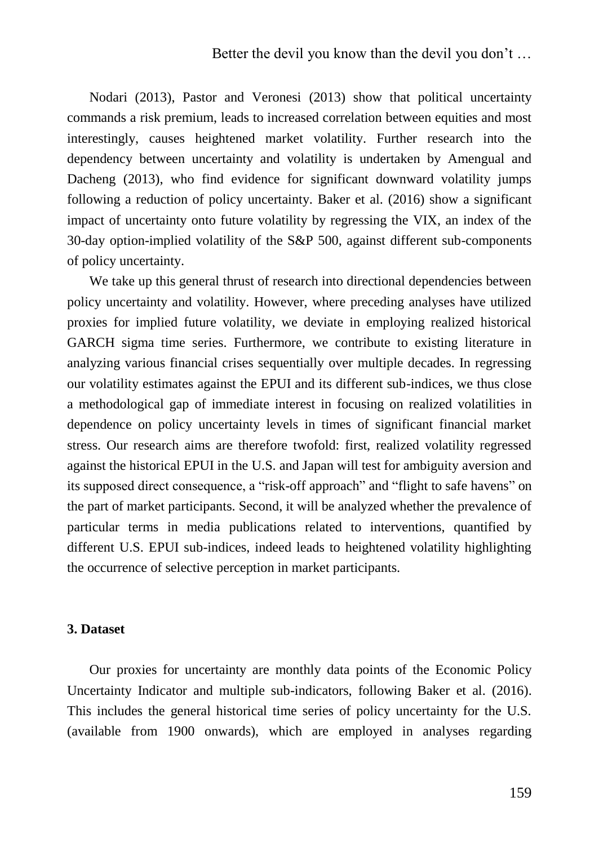Nodari (2013), Pastor and Veronesi (2013) show that political uncertainty commands a risk premium, leads to increased correlation between equities and most interestingly, causes heightened market volatility. Further research into the dependency between uncertainty and volatility is undertaken by Amengual and Dacheng (2013), who find evidence for significant downward volatility jumps following a reduction of policy uncertainty. Baker et al. (2016) show a significant impact of uncertainty onto future volatility by regressing the VIX, an index of the 30-day option-implied volatility of the S&P 500, against different sub-components of policy uncertainty.

We take up this general thrust of research into directional dependencies between policy uncertainty and volatility. However, where preceding analyses have utilized proxies for implied future volatility, we deviate in employing realized historical GARCH sigma time series. Furthermore, we contribute to existing literature in analyzing various financial crises sequentially over multiple decades. In regressing our volatility estimates against the EPUI and its different sub-indices, we thus close a methodological gap of immediate interest in focusing on realized volatilities in dependence on policy uncertainty levels in times of significant financial market stress. Our research aims are therefore twofold: first, realized volatility regressed against the historical EPUI in the U.S. and Japan will test for ambiguity aversion and its supposed direct consequence, a "risk-off approach" and "flight to safe havens" on the part of market participants. Second, it will be analyzed whether the prevalence of particular terms in media publications related to interventions, quantified by different U.S. EPUI sub-indices, indeed leads to heightened volatility highlighting the occurrence of selective perception in market participants.

### **3. Dataset**

Our proxies for uncertainty are monthly data points of the Economic Policy Uncertainty Indicator and multiple sub-indicators, following Baker et al. (2016). This includes the general historical time series of policy uncertainty for the U.S. (available from 1900 onwards), which are employed in analyses regarding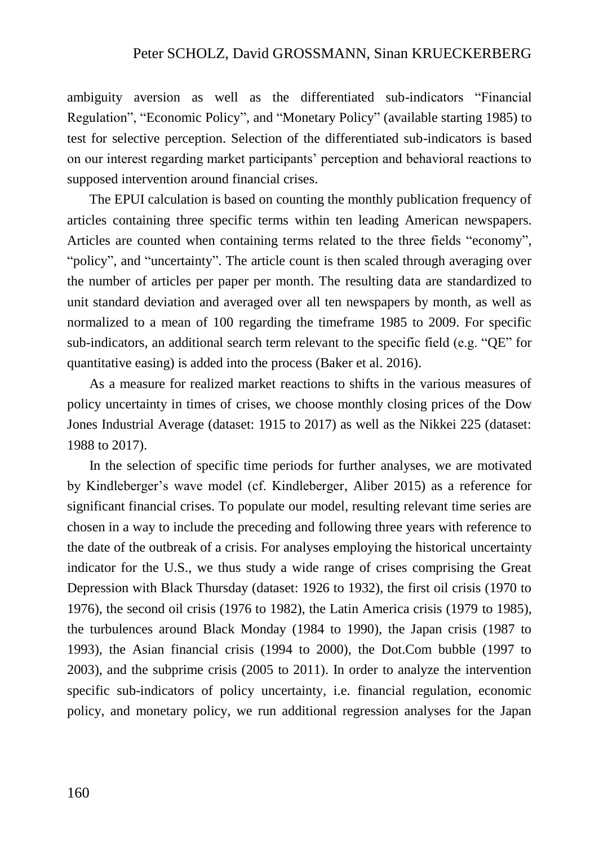ambiguity aversion as well as the differentiated sub-indicators "Financial Regulation", "Economic Policy", and "Monetary Policy" (available starting 1985) to test for selective perception. Selection of the differentiated sub-indicators is based on our interest regarding market participants' perception and behavioral reactions to supposed intervention around financial crises.

The EPUI calculation is based on counting the monthly publication frequency of articles containing three specific terms within ten leading American newspapers. Articles are counted when containing terms related to the three fields "economy", "policy", and "uncertainty". The article count is then scaled through averaging over the number of articles per paper per month. The resulting data are standardized to unit standard deviation and averaged over all ten newspapers by month, as well as normalized to a mean of 100 regarding the timeframe 1985 to 2009. For specific sub-indicators, an additional search term relevant to the specific field (e.g. "QE" for quantitative easing) is added into the process (Baker et al. 2016).

As a measure for realized market reactions to shifts in the various measures of policy uncertainty in times of crises, we choose monthly closing prices of the Dow Jones Industrial Average (dataset: 1915 to 2017) as well as the Nikkei 225 (dataset: 1988 to 2017).

In the selection of specific time periods for further analyses, we are motivated by Kindleberger's wave model (cf. Kindleberger, Aliber 2015) as a reference for significant financial crises. To populate our model, resulting relevant time series are chosen in a way to include the preceding and following three years with reference to the date of the outbreak of a crisis. For analyses employing the historical uncertainty indicator for the U.S., we thus study a wide range of crises comprising the Great Depression with Black Thursday (dataset: 1926 to 1932), the first oil crisis (1970 to 1976), the second oil crisis (1976 to 1982), the Latin America crisis (1979 to 1985), the turbulences around Black Monday (1984 to 1990), the Japan crisis (1987 to 1993), the Asian financial crisis (1994 to 2000), the Dot.Com bubble (1997 to 2003), and the subprime crisis (2005 to 2011). In order to analyze the intervention specific sub-indicators of policy uncertainty, i.e. financial regulation, economic policy, and monetary policy, we run additional regression analyses for the Japan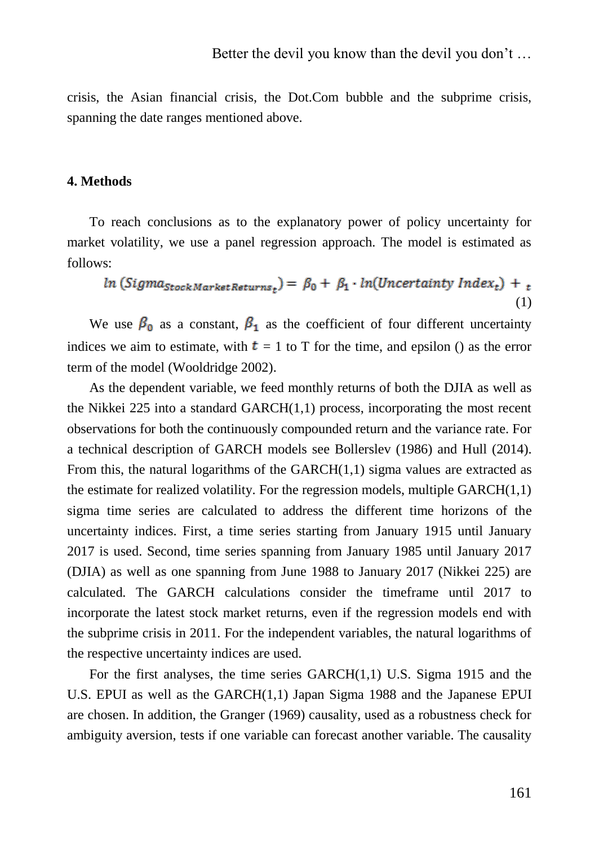crisis, the Asian financial crisis, the Dot.Com bubble and the subprime crisis, spanning the date ranges mentioned above.

#### **4. Methods**

To reach conclusions as to the explanatory power of policy uncertainty for market volatility, we use a panel regression approach. The model is estimated as follows:

$$
ln (SigmastockMarketReturnst) = \beta_0 + \beta_1 \cdot ln(Uncertainty Indext) + \sum_{t=1}^{t} (1)
$$

We use  $\beta_0$  as a constant,  $\beta_1$  as the coefficient of four different uncertainty indices we aim to estimate, with  $\mathbf{t} = 1$  to T for the time, and epsilon () as the error term of the model (Wooldridge 2002).

As the dependent variable, we feed monthly returns of both the DJIA as well as the Nikkei 225 into a standard  $GARCH(1,1)$  process, incorporating the most recent observations for both the continuously compounded return and the variance rate. For a technical description of GARCH models see Bollerslev (1986) and Hull (2014). From this, the natural logarithms of the  $GARCH(1,1)$  sigma values are extracted as the estimate for realized volatility. For the regression models, multiple  $GARCH(1,1)$ sigma time series are calculated to address the different time horizons of the uncertainty indices. First, a time series starting from January 1915 until January 2017 is used. Second, time series spanning from January 1985 until January 2017 (DJIA) as well as one spanning from June 1988 to January 2017 (Nikkei 225) are calculated. The GARCH calculations consider the timeframe until 2017 to incorporate the latest stock market returns, even if the regression models end with the subprime crisis in 2011. For the independent variables, the natural logarithms of the respective uncertainty indices are used.

For the first analyses, the time series  $GARCH(1,1)$  U.S. Sigma 1915 and the U.S. EPUI as well as the GARCH(1,1) Japan Sigma 1988 and the Japanese EPUI are chosen. In addition, the Granger (1969) causality, used as a robustness check for ambiguity aversion, tests if one variable can forecast another variable. The causality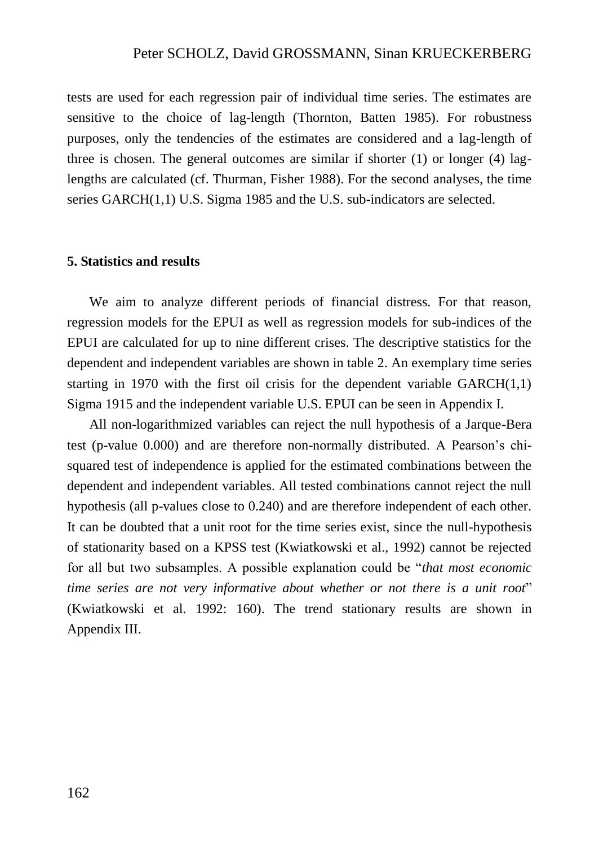tests are used for each regression pair of individual time series. The estimates are sensitive to the choice of lag-length (Thornton, Batten 1985). For robustness purposes, only the tendencies of the estimates are considered and a lag-length of three is chosen. The general outcomes are similar if shorter (1) or longer (4) laglengths are calculated (cf. Thurman, Fisher 1988). For the second analyses, the time series GARCH(1,1) U.S. Sigma 1985 and the U.S. sub-indicators are selected.

## **5. Statistics and results**

We aim to analyze different periods of financial distress. For that reason, regression models for the EPUI as well as regression models for sub-indices of the EPUI are calculated for up to nine different crises. The descriptive statistics for the dependent and independent variables are shown in table 2. An exemplary time series starting in 1970 with the first oil crisis for the dependent variable  $GARCH(1,1)$ Sigma 1915 and the independent variable U.S. EPUI can be seen in Appendix I.

All non-logarithmized variables can reject the null hypothesis of a Jarque-Bera test (p-value 0.000) and are therefore non-normally distributed. A Pearson's chisquared test of independence is applied for the estimated combinations between the dependent and independent variables. All tested combinations cannot reject the null hypothesis (all p-values close to 0.240) and are therefore independent of each other. It can be doubted that a unit root for the time series exist, since the null-hypothesis of stationarity based on a KPSS test (Kwiatkowski et al., 1992) cannot be rejected for all but two subsamples. A possible explanation could be "*that most economic time series are not very informative about whether or not there is a unit root*" (Kwiatkowski et al. 1992: 160). The trend stationary results are shown in Appendix III.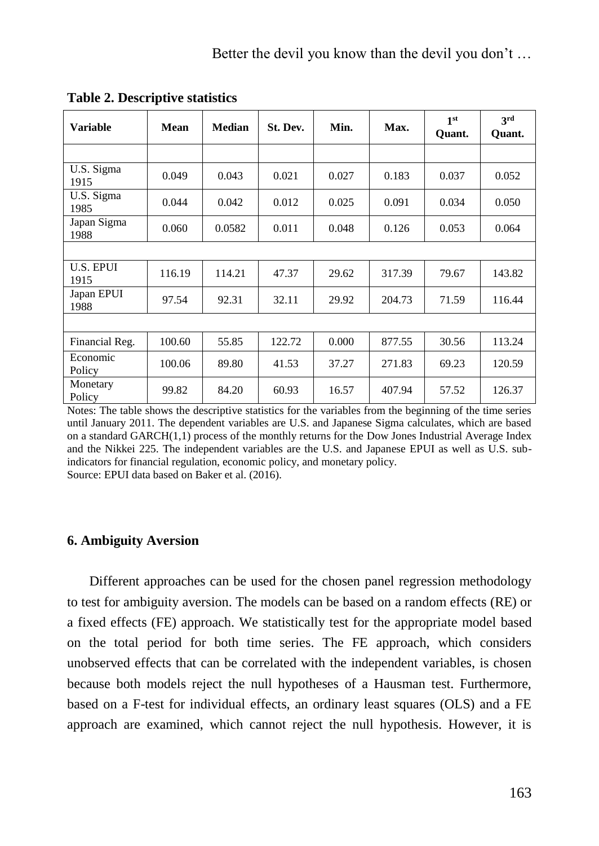| <b>Variable</b>          | Mean   | <b>Median</b> | St. Dev. | Min.  | Max.   | 1 <sup>st</sup><br>Quant. | 3rd<br>Quant. |
|--------------------------|--------|---------------|----------|-------|--------|---------------------------|---------------|
|                          |        |               |          |       |        |                           |               |
| U.S. Sigma<br>1915       | 0.049  | 0.043         | 0.021    | 0.027 | 0.183  | 0.037                     | 0.052         |
| U.S. Sigma<br>1985       | 0.044  | 0.042         | 0.012    | 0.025 | 0.091  | 0.034                     | 0.050         |
| Japan Sigma<br>1988      | 0.060  | 0.0582        | 0.011    | 0.048 | 0.126  | 0.053                     | 0.064         |
|                          |        |               |          |       |        |                           |               |
| <b>U.S. EPUI</b><br>1915 | 116.19 | 114.21        | 47.37    | 29.62 | 317.39 | 79.67                     | 143.82        |
| Japan EPUI<br>1988       | 97.54  | 92.31         | 32.11    | 29.92 | 204.73 | 71.59                     | 116.44        |
|                          |        |               |          |       |        |                           |               |
| Financial Reg.           | 100.60 | 55.85         | 122.72   | 0.000 | 877.55 | 30.56                     | 113.24        |
| Economic<br>Policy       | 100.06 | 89.80         | 41.53    | 37.27 | 271.83 | 69.23                     | 120.59        |
| Monetary<br>Policy       | 99.82  | 84.20         | 60.93    | 16.57 | 407.94 | 57.52                     | 126.37        |

**Table 2. Descriptive statistics**

Notes: The table shows the descriptive statistics for the variables from the beginning of the time series until January 2011. The dependent variables are U.S. and Japanese Sigma calculates, which are based on a standard GARCH(1,1) process of the monthly returns for the Dow Jones Industrial Average Index and the Nikkei 225. The independent variables are the U.S. and Japanese EPUI as well as U.S. subindicators for financial regulation, economic policy, and monetary policy. Source: EPUI data based on Baker et al. (2016).

## **6. Ambiguity Aversion**

Different approaches can be used for the chosen panel regression methodology to test for ambiguity aversion. The models can be based on a random effects (RE) or a fixed effects (FE) approach. We statistically test for the appropriate model based on the total period for both time series. The FE approach, which considers unobserved effects that can be correlated with the independent variables, is chosen because both models reject the null hypotheses of a Hausman test. Furthermore, based on a F-test for individual effects, an ordinary least squares (OLS) and a FE approach are examined, which cannot reject the null hypothesis. However, it is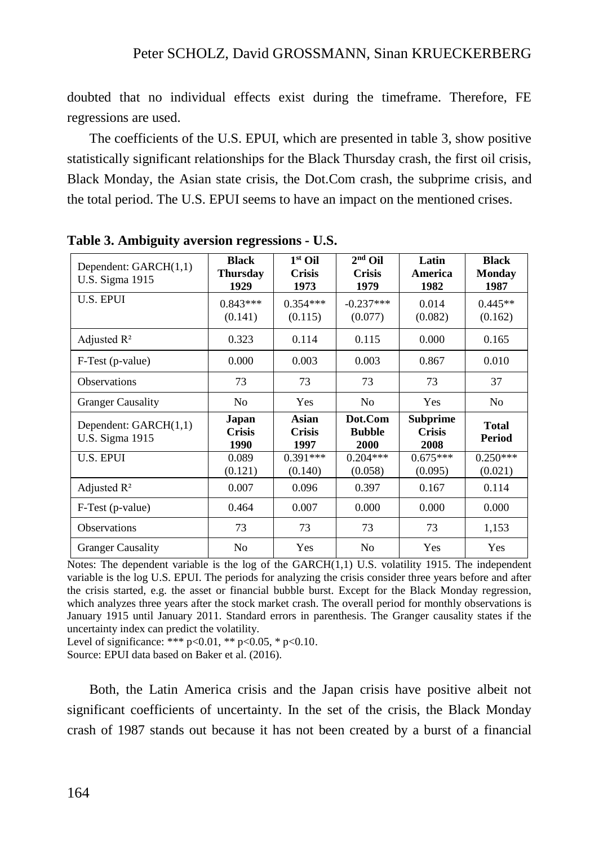doubted that no individual effects exist during the timeframe. Therefore, FE regressions are used.

The coefficients of the U.S. EPUI, which are presented in table 3, show positive statistically significant relationships for the Black Thursday crash, the first oil crisis, Black Monday, the Asian state crisis, the Dot.Com crash, the subprime crisis, and the total period. The U.S. EPUI seems to have an impact on the mentioned crises.

| Dependent: GARCH(1,1)<br>U.S. Sigma 1915 | <b>Black</b><br>Thursdav<br>1929 | $1st$ Oil<br><b>Crisis</b><br>1973 | $2nd$ Oil<br><b>Crisis</b><br>1979 | Latin<br>America<br>1982                 | <b>Black</b><br><b>Monday</b><br>1987 |
|------------------------------------------|----------------------------------|------------------------------------|------------------------------------|------------------------------------------|---------------------------------------|
| U.S. EPUI                                | $0.843***$<br>(0.141)            | $0.354***$<br>(0.115)              | $-0.237***$<br>(0.077)             | 0.014<br>(0.082)                         | $0.445**$<br>(0.162)                  |
| Adjusted $\mathbb{R}^2$                  | 0.323                            | 0.114                              | 0.115                              | 0.000                                    | 0.165                                 |
| F-Test (p-value)                         | 0.000                            | 0.003                              | 0.003                              | 0.867                                    | 0.010                                 |
| <b>Observations</b>                      | 73                               | 73                                 | 73                                 | 73                                       | 37                                    |
| <b>Granger Causality</b>                 | N <sub>0</sub>                   | Yes                                | N <sub>0</sub>                     | Yes                                      | N <sub>0</sub>                        |
| Dependent: GARCH(1,1)<br>U.S. Sigma 1915 | Japan<br><b>Crisis</b><br>1990   | Asian<br><b>Crisis</b><br>1997     | Dot.Com<br><b>Bubble</b><br>2000   | <b>Subprime</b><br><b>Crisis</b><br>2008 | <b>Total</b><br><b>Period</b>         |
| <b>U.S. EPUI</b>                         | 0.089<br>(0.121)                 | $0.391***$<br>(0.140)              | $0.204***$<br>(0.058)              | $0.675***$<br>(0.095)                    | $0.250***$<br>(0.021)                 |
| Adjusted $\mathbb{R}^2$                  | 0.007                            | 0.096                              | 0.397                              | 0.167                                    | 0.114                                 |
| F-Test (p-value)                         | 0.464                            | 0.007                              | 0.000                              | 0.000                                    | 0.000                                 |
| <b>Observations</b>                      | 73                               | 73                                 | 73                                 | 73                                       | 1,153                                 |
| <b>Granger Causality</b>                 | N <sub>0</sub>                   | Yes                                | N <sub>0</sub>                     | Yes                                      | Yes                                   |

**Table 3. Ambiguity aversion regressions - U.S.**

Notes: The dependent variable is the log of the GARCH(1,1) U.S. volatility 1915. The independent variable is the log U.S. EPUI. The periods for analyzing the crisis consider three years before and after the crisis started, e.g. the asset or financial bubble burst. Except for the Black Monday regression, which analyzes three years after the stock market crash. The overall period for monthly observations is January 1915 until January 2011. Standard errors in parenthesis. The Granger causality states if the uncertainty index can predict the volatility.

Level of significance: \*\*\*  $p<0.01$ , \*\*  $p<0.05$ , \*  $p<0.10$ .

Source: EPUI data based on Baker et al. (2016).

Both, the Latin America crisis and the Japan crisis have positive albeit not significant coefficients of uncertainty. In the set of the crisis, the Black Monday crash of 1987 stands out because it has not been created by a burst of a financial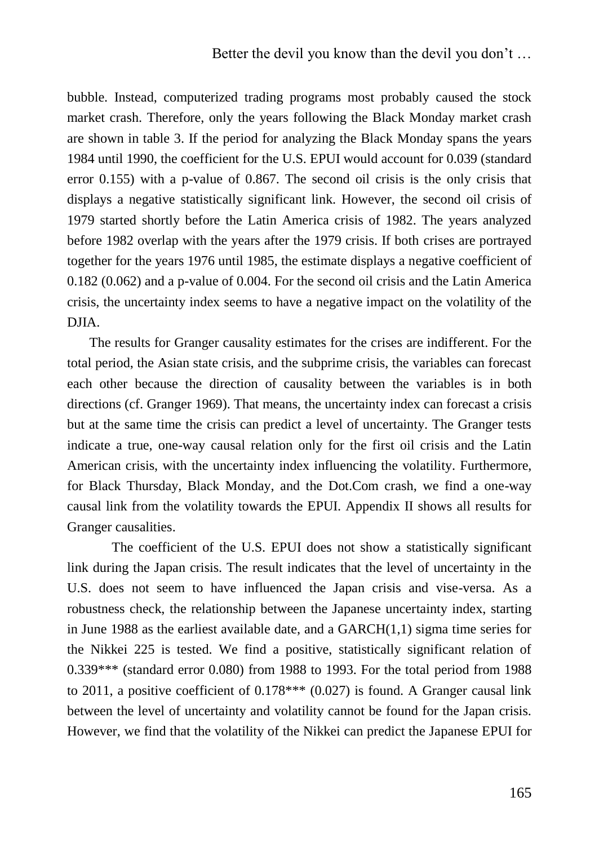bubble. Instead, computerized trading programs most probably caused the stock market crash. Therefore, only the years following the Black Monday market crash are shown in table 3. If the period for analyzing the Black Monday spans the years 1984 until 1990, the coefficient for the U.S. EPUI would account for 0.039 (standard error 0.155) with a p-value of 0.867. The second oil crisis is the only crisis that displays a negative statistically significant link. However, the second oil crisis of 1979 started shortly before the Latin America crisis of 1982. The years analyzed before 1982 overlap with the years after the 1979 crisis. If both crises are portrayed together for the years 1976 until 1985, the estimate displays a negative coefficient of 0.182 (0.062) and a p-value of 0.004. For the second oil crisis and the Latin America crisis, the uncertainty index seems to have a negative impact on the volatility of the DJIA.

The results for Granger causality estimates for the crises are indifferent. For the total period, the Asian state crisis, and the subprime crisis, the variables can forecast each other because the direction of causality between the variables is in both directions (cf. Granger 1969). That means, the uncertainty index can forecast a crisis but at the same time the crisis can predict a level of uncertainty. The Granger tests indicate a true, one-way causal relation only for the first oil crisis and the Latin American crisis, with the uncertainty index influencing the volatility. Furthermore, for Black Thursday, Black Monday, and the Dot.Com crash, we find a one-way causal link from the volatility towards the EPUI. Appendix II shows all results for Granger causalities.

The coefficient of the U.S. EPUI does not show a statistically significant link during the Japan crisis. The result indicates that the level of uncertainty in the U.S. does not seem to have influenced the Japan crisis and vise-versa. As a robustness check, the relationship between the Japanese uncertainty index, starting in June 1988 as the earliest available date, and a  $GARCH(1,1)$  sigma time series for the Nikkei 225 is tested. We find a positive, statistically significant relation of 0.339\*\*\* (standard error 0.080) from 1988 to 1993. For the total period from 1988 to 2011, a positive coefficient of 0.178\*\*\* (0.027) is found. A Granger causal link between the level of uncertainty and volatility cannot be found for the Japan crisis. However, we find that the volatility of the Nikkei can predict the Japanese EPUI for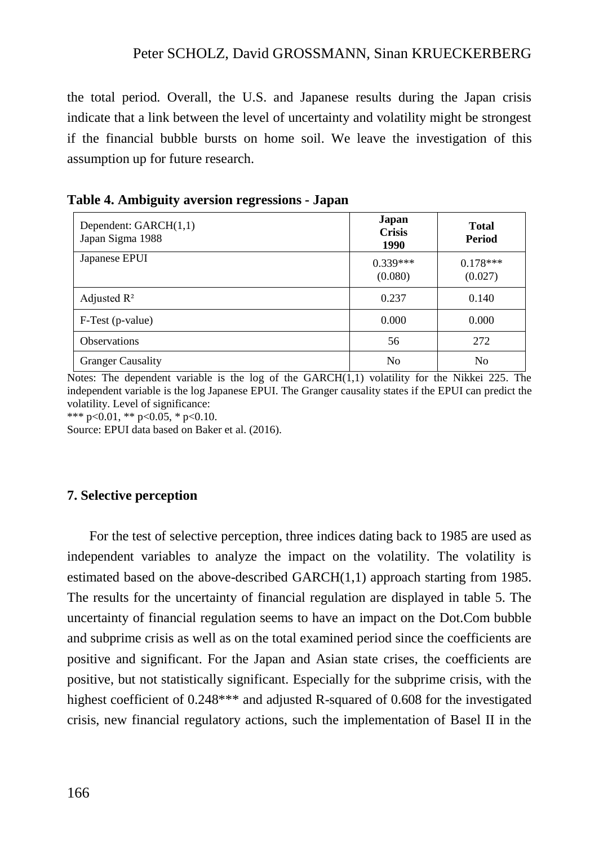the total period. Overall, the U.S. and Japanese results during the Japan crisis indicate that a link between the level of uncertainty and volatility might be strongest if the financial bubble bursts on home soil. We leave the investigation of this assumption up for future research.

| Dependent: GARCH(1,1)<br>Japan Sigma 1988 | Japan<br><b>Crisis</b><br>1990 | <b>Total</b><br><b>Period</b> |
|-------------------------------------------|--------------------------------|-------------------------------|
| Japanese EPUI                             | $0.339***$<br>(0.080)          | $0.178***$<br>(0.027)         |
| Adjusted $\mathbb{R}^2$                   | 0.237                          | 0.140                         |
| F-Test (p-value)                          | 0.000                          | 0.000                         |
| <b>Observations</b>                       | 56                             | 272                           |
| <b>Granger Causality</b>                  | No                             | No                            |

| Table 4. Ambiguity aversion regressions - Japan |  |  |
|-------------------------------------------------|--|--|
|                                                 |  |  |

Notes: The dependent variable is the log of the GARCH(1,1) volatility for the Nikkei 225. The independent variable is the log Japanese EPUI. The Granger causality states if the EPUI can predict the volatility. Level of significance:

\*\*\* p<0.01, \*\* p<0.05, \* p<0.10.

Source: EPUI data based on Baker et al. (2016).

## **7. Selective perception**

For the test of selective perception, three indices dating back to 1985 are used as independent variables to analyze the impact on the volatility. The volatility is estimated based on the above-described GARCH(1,1) approach starting from 1985. The results for the uncertainty of financial regulation are displayed in table 5. The uncertainty of financial regulation seems to have an impact on the Dot.Com bubble and subprime crisis as well as on the total examined period since the coefficients are positive and significant. For the Japan and Asian state crises, the coefficients are positive, but not statistically significant. Especially for the subprime crisis, with the highest coefficient of 0.248\*\*\* and adjusted R-squared of 0.608 for the investigated crisis, new financial regulatory actions, such the implementation of Basel II in the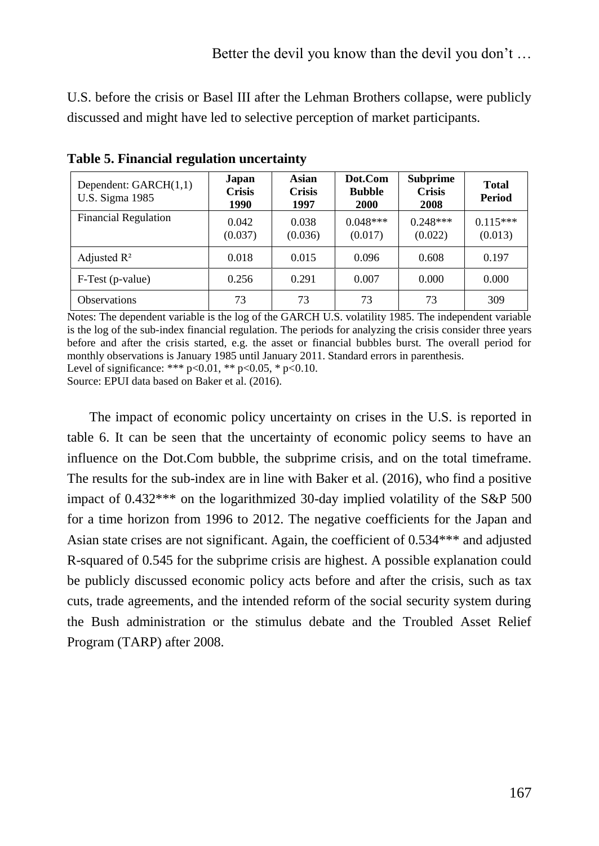U.S. before the crisis or Basel III after the Lehman Brothers collapse, were publicly discussed and might have led to selective perception of market participants.

| Dependent: $GARCH(1,1)$<br>U.S. Sigma 1985 | Japan<br><b>Crisis</b><br>1990 | Asian<br><b>Crisis</b><br>1997 | Dot.Com<br><b>Bubble</b><br>2000 | <b>Subprime</b><br><b>Crisis</b><br>2008 | <b>Total</b><br>Period |
|--------------------------------------------|--------------------------------|--------------------------------|----------------------------------|------------------------------------------|------------------------|
| <b>Financial Regulation</b>                | 0.042<br>(0.037)               | 0.038<br>(0.036)               | $0.048***$<br>(0.017)            | $0.248***$<br>(0.022)                    | $0.115***$<br>(0.013)  |
| Adjusted $\mathbb{R}^2$                    | 0.018                          | 0.015                          | 0.096                            | 0.608                                    | 0.197                  |
| F-Test (p-value)                           | 0.256                          | 0.291                          | 0.007                            | 0.000                                    | 0.000                  |
| <b>Observations</b>                        | 73                             | 73                             | 73                               | 73                                       | 309                    |

**Table 5. Financial regulation uncertainty**

Notes: The dependent variable is the log of the GARCH U.S. volatility 1985. The independent variable is the log of the sub-index financial regulation. The periods for analyzing the crisis consider three years before and after the crisis started, e.g. the asset or financial bubbles burst. The overall period for monthly observations is January 1985 until January 2011. Standard errors in parenthesis. Level of significance: \*\*\* p<0.01, \*\* p<0.05, \* p<0.10.

Source: EPUI data based on Baker et al. (2016).

The impact of economic policy uncertainty on crises in the U.S. is reported in table 6. It can be seen that the uncertainty of economic policy seems to have an influence on the Dot.Com bubble, the subprime crisis, and on the total timeframe. The results for the sub-index are in line with Baker et al. (2016), who find a positive impact of 0.432\*\*\* on the logarithmized 30-day implied volatility of the S&P 500 for a time horizon from 1996 to 2012. The negative coefficients for the Japan and Asian state crises are not significant. Again, the coefficient of 0.534\*\*\* and adjusted R-squared of 0.545 for the subprime crisis are highest. A possible explanation could be publicly discussed economic policy acts before and after the crisis, such as tax cuts, trade agreements, and the intended reform of the social security system during the Bush administration or the stimulus debate and the Troubled Asset Relief Program (TARP) after 2008.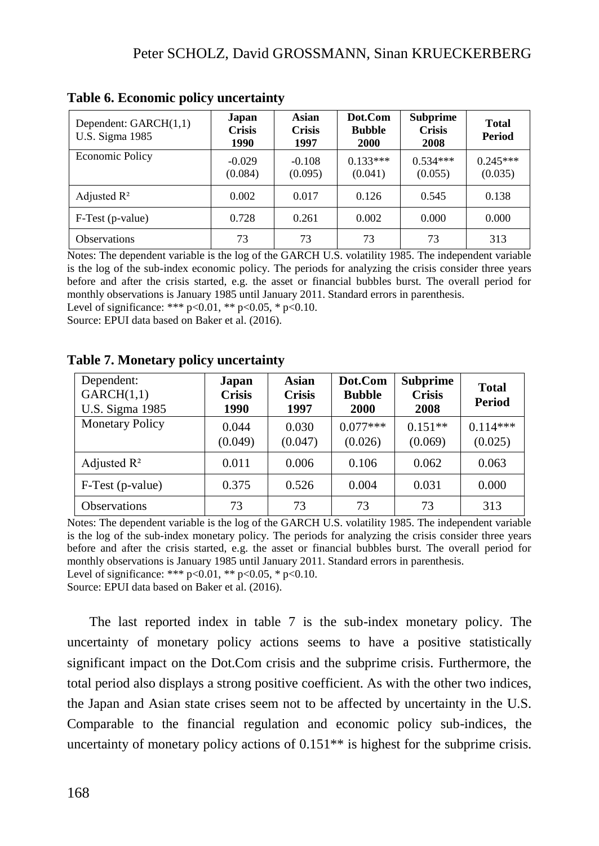| Dependent: $GARCH(1,1)$<br>U.S. Sigma 1985 | Japan<br><b>Crisis</b><br>1990 | Asian<br><b>Crisis</b><br>1997 | Dot.Com<br><b>Bubble</b><br>2000 | <b>Subprime</b><br><b>Crisis</b><br>2008 | <b>Total</b><br>Period |
|--------------------------------------------|--------------------------------|--------------------------------|----------------------------------|------------------------------------------|------------------------|
| <b>Economic Policy</b>                     | $-0.029$<br>(0.084)            | $-0.108$<br>(0.095)            | $0.133***$<br>(0.041)            | $0.534***$<br>(0.055)                    | $0.245***$<br>(0.035)  |
| Adjusted $\mathbb{R}^2$                    | 0.002                          | 0.017                          | 0.126                            | 0.545                                    | 0.138                  |
| F-Test (p-value)                           | 0.728                          | 0.261                          | 0.002                            | 0.000                                    | 0.000                  |
| <b>Observations</b>                        | 73                             | 73                             | 73                               | 73                                       | 313                    |

**Table 6. Economic policy uncertainty**

Notes: The dependent variable is the log of the GARCH U.S. volatility 1985. The independent variable is the log of the sub-index economic policy. The periods for analyzing the crisis consider three years before and after the crisis started, e.g. the asset or financial bubbles burst. The overall period for monthly observations is January 1985 until January 2011. Standard errors in parenthesis.

Level of significance: \*\*\* p<0.01, \*\* p<0.05, \* p<0.10.

Source: EPUI data based on Baker et al. (2016).

| Dependent:<br>GARCH(1,1)<br><b>U.S. Sigma 1985</b> | Japan<br><b>Crisis</b><br>1990 | <b>Asian</b><br><b>Crisis</b><br>1997 | Dot.Com<br><b>Bubble</b><br>2000 | <b>Subprime</b><br><b>Crisis</b><br>2008 | <b>Total</b><br><b>Period</b> |
|----------------------------------------------------|--------------------------------|---------------------------------------|----------------------------------|------------------------------------------|-------------------------------|
| <b>Monetary Policy</b>                             | 0.044<br>(0.049)               | 0.030<br>(0.047)                      | $0.077***$<br>(0.026)            | $0.151**$<br>(0.069)                     | $0.114***$<br>(0.025)         |
| Adjusted $\mathbb{R}^2$                            | 0.011                          | 0.006                                 | 0.106                            | 0.062                                    | 0.063                         |
| F-Test (p-value)                                   | 0.375                          | 0.526                                 | 0.004                            | 0.031                                    | 0.000                         |
| <b>Observations</b>                                | 73                             | 73                                    | 73                               | 73                                       | 313                           |

**Table 7. Monetary policy uncertainty**

Notes: The dependent variable is the log of the GARCH U.S. volatility 1985. The independent variable is the log of the sub-index monetary policy. The periods for analyzing the crisis consider three years before and after the crisis started, e.g. the asset or financial bubbles burst. The overall period for monthly observations is January 1985 until January 2011. Standard errors in parenthesis. Level of significance: \*\*\*  $p<0.01$ , \*\*  $p<0.05$ , \*  $p<0.10$ .

Source: EPUI data based on Baker et al. (2016).

The last reported index in table 7 is the sub-index monetary policy. The uncertainty of monetary policy actions seems to have a positive statistically significant impact on the Dot.Com crisis and the subprime crisis. Furthermore, the total period also displays a strong positive coefficient. As with the other two indices, the Japan and Asian state crises seem not to be affected by uncertainty in the U.S. Comparable to the financial regulation and economic policy sub-indices, the uncertainty of monetary policy actions of 0.151\*\* is highest for the subprime crisis.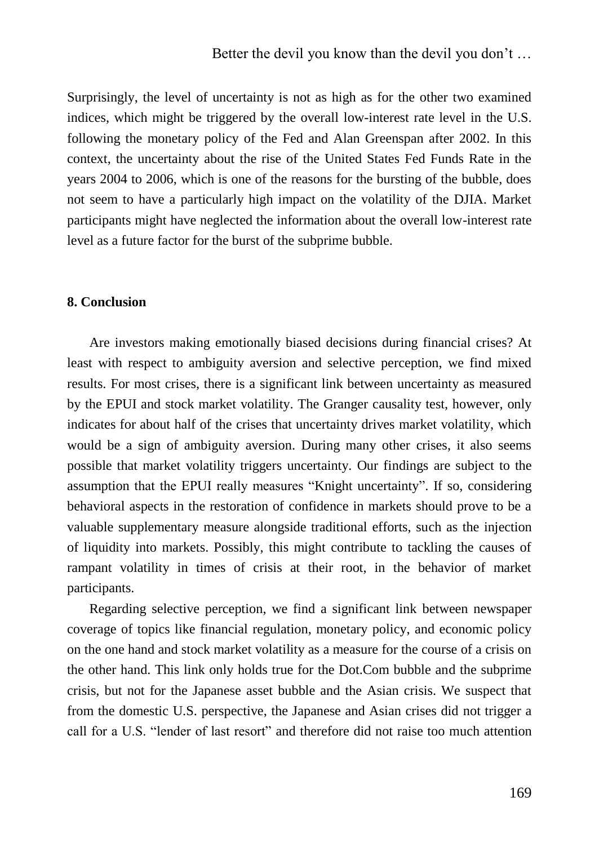Surprisingly, the level of uncertainty is not as high as for the other two examined indices, which might be triggered by the overall low-interest rate level in the U.S. following the monetary policy of the Fed and Alan Greenspan after 2002. In this context, the uncertainty about the rise of the United States Fed Funds Rate in the years 2004 to 2006, which is one of the reasons for the bursting of the bubble, does not seem to have a particularly high impact on the volatility of the DJIA. Market participants might have neglected the information about the overall low-interest rate level as a future factor for the burst of the subprime bubble.

#### **8. Conclusion**

Are investors making emotionally biased decisions during financial crises? At least with respect to ambiguity aversion and selective perception, we find mixed results. For most crises, there is a significant link between uncertainty as measured by the EPUI and stock market volatility. The Granger causality test, however, only indicates for about half of the crises that uncertainty drives market volatility, which would be a sign of ambiguity aversion. During many other crises, it also seems possible that market volatility triggers uncertainty. Our findings are subject to the assumption that the EPUI really measures "Knight uncertainty". If so, considering behavioral aspects in the restoration of confidence in markets should prove to be a valuable supplementary measure alongside traditional efforts, such as the injection of liquidity into markets. Possibly, this might contribute to tackling the causes of rampant volatility in times of crisis at their root, in the behavior of market participants.

Regarding selective perception, we find a significant link between newspaper coverage of topics like financial regulation, monetary policy, and economic policy on the one hand and stock market volatility as a measure for the course of a crisis on the other hand. This link only holds true for the Dot.Com bubble and the subprime crisis, but not for the Japanese asset bubble and the Asian crisis. We suspect that from the domestic U.S. perspective, the Japanese and Asian crises did not trigger a call for a U.S. "lender of last resort" and therefore did not raise too much attention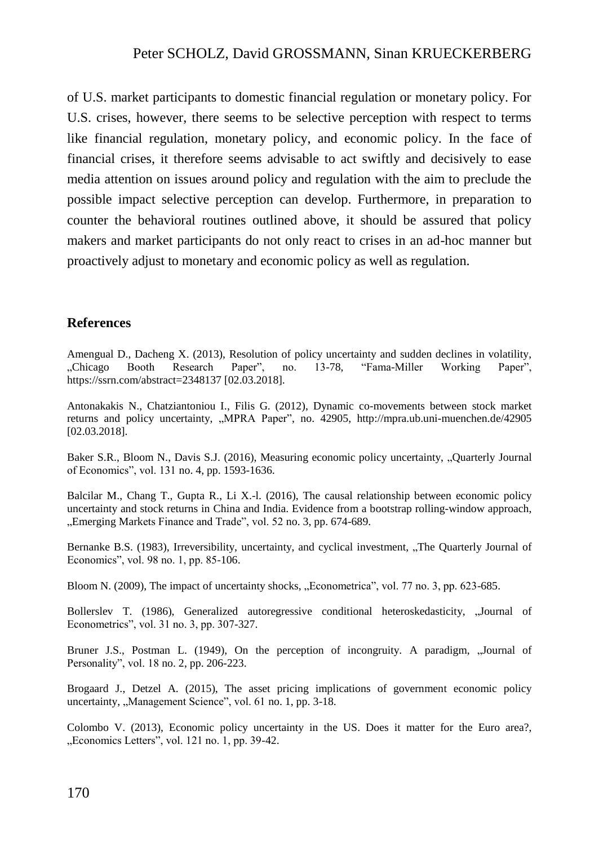of U.S. market participants to domestic financial regulation or monetary policy. For U.S. crises, however, there seems to be selective perception with respect to terms like financial regulation, monetary policy, and economic policy. In the face of financial crises, it therefore seems advisable to act swiftly and decisively to ease media attention on issues around policy and regulation with the aim to preclude the possible impact selective perception can develop. Furthermore, in preparation to counter the behavioral routines outlined above, it should be assured that policy makers and market participants do not only react to crises in an ad-hoc manner but proactively adjust to monetary and economic policy as well as regulation.

#### **References**

Amengual D., Dacheng X. (2013), Resolution of policy uncertainty and sudden declines in volatility, <br>
"Chicago Booth Research Paper", no. 13-78, "Fama-Miller Working Paper", "Fama-Miller Working Paper", https://ssrn.com/abstract=2348137 [02.03.2018].

Antonakakis N., Chatziantoniou I., Filis G. (2012), Dynamic co-movements between stock market returns and policy uncertainty, "MPRA Paper", no. 42905, http://mpra.ub.uni-muenchen.de/42905 [02.03.2018].

Baker S.R., Bloom N., Davis S.J. (2016), Measuring economic policy uncertainty, "Quarterly Journal of Economics", vol. 131 no. 4, pp. 1593-1636.

Balcilar M., Chang T., Gupta R., Li X.-l. (2016), The causal relationship between economic policy uncertainty and stock returns in China and India. Evidence from a bootstrap rolling-window approach, "Emerging Markets Finance and Trade", vol. 52 no. 3, pp. 674-689.

Bernanke B.S. (1983), Irreversibility, uncertainty, and cyclical investment, "The Quarterly Journal of Economics", vol. 98 no. 1, pp. 85-106.

Bloom N. (2009), The impact of uncertainty shocks, "Econometrica", vol. 77 no. 3, pp. 623-685.

Bollerslev T. (1986), Generalized autoregressive conditional heteroskedasticity, "Journal of Econometrics", vol. 31 no. 3, pp. 307-327.

Bruner J.S., Postman L. (1949), On the perception of incongruity. A paradigm, "Journal of Personality", vol. 18 no. 2, pp. 206-223.

Brogaard J., Detzel A. (2015), The asset pricing implications of government economic policy uncertainty, "Management Science", vol. 61 no. 1, pp. 3-18.

Colombo V. (2013), Economic policy uncertainty in the US. Does it matter for the Euro area?, "Economics Letters", vol. 121 no. 1, pp. 39-42.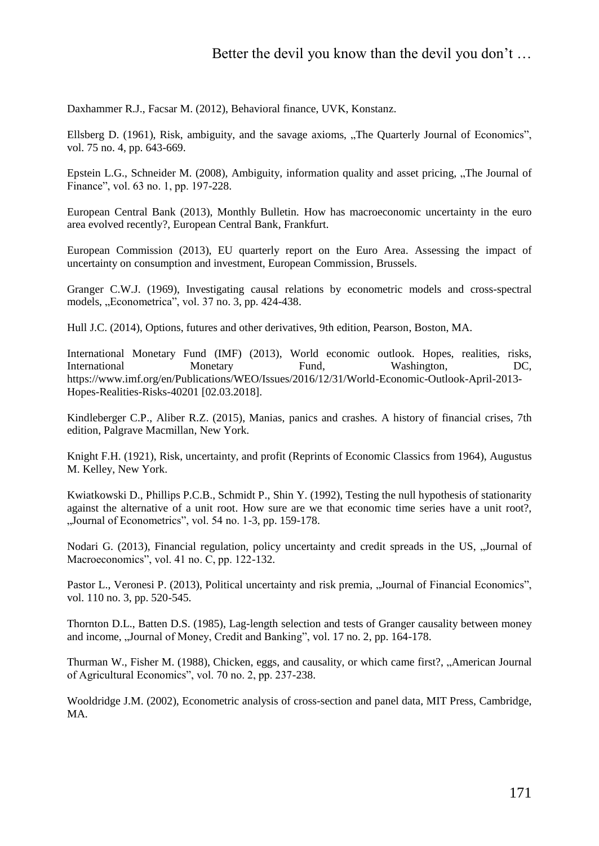Daxhammer R.J., Facsar M. (2012), Behavioral finance, UVK, Konstanz.

Ellsberg D. (1961), Risk, ambiguity, and the savage axioms, "The Quarterly Journal of Economics". vol. 75 no. 4, pp. 643-669.

Epstein L.G., Schneider M. (2008), Ambiguity, information quality and asset pricing, "The Journal of Finance", vol. 63 no. 1, pp. 197-228.

European Central Bank (2013), Monthly Bulletin. How has macroeconomic uncertainty in the euro area evolved recently?, European Central Bank, Frankfurt.

European Commission (2013), EU quarterly report on the Euro Area. Assessing the impact of uncertainty on consumption and investment, European Commission, Brussels.

Granger C.W.J. (1969), Investigating causal relations by econometric models and cross-spectral models, "Econometrica", vol. 37 no. 3, pp. 424-438.

Hull J.C. (2014), Options, futures and other derivatives, 9th edition, Pearson, Boston, MA.

International Monetary Fund (IMF) (2013), World economic outlook. Hopes, realities, risks, International Monetary Fund, Washington, DC, https://www.imf.org/en/Publications/WEO/Issues/2016/12/31/World-Economic-Outlook-April-2013- Hopes-Realities-Risks-40201 [02.03.2018].

Kindleberger C.P., Aliber R.Z. (2015), Manias, panics and crashes. A history of financial crises, 7th edition, Palgrave Macmillan, New York.

Knight F.H. (1921), Risk, uncertainty, and profit (Reprints of Economic Classics from 1964), Augustus M. Kelley, New York.

Kwiatkowski D., Phillips P.C.B., Schmidt P., Shin Y. (1992), Testing the null hypothesis of stationarity against the alternative of a unit root. How sure are we that economic time series have a unit root?, "Journal of Econometrics", vol. 54 no. 1-3, pp. 159-178.

Nodari G. (2013), Financial regulation, policy uncertainty and credit spreads in the US, "Journal of Macroeconomics", vol. 41 no. C, pp. 122-132.

Pastor L., Veronesi P. (2013), Political uncertainty and risk premia, "Journal of Financial Economics", vol. 110 no. 3, pp. 520-545.

Thornton D.L., Batten D.S. (1985), Lag-length selection and tests of Granger causality between money and income, "Journal of Money, Credit and Banking", vol. 17 no. 2, pp. 164-178.

Thurman W., Fisher M. (1988), Chicken, eggs, and causality, or which came first?, "American Journal of Agricultural Economics", vol. 70 no. 2, pp. 237-238.

Wooldridge J.M. (2002), Econometric analysis of cross-section and panel data, MIT Press, Cambridge, MA.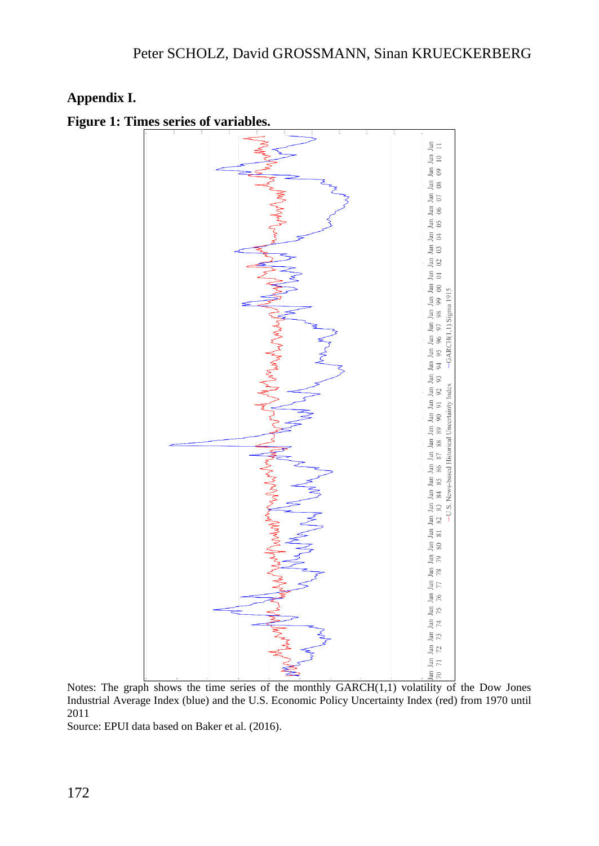# **Appendix I.**





Notes: The graph shows the time series of the monthly  $GARCH(1,1)$  volatility of the Dow Jones Industrial Average Index (blue) and the U.S. Economic Policy Uncertainty Index (red) from 1970 until 2011

Source: EPUI data based on Baker et al. (2016).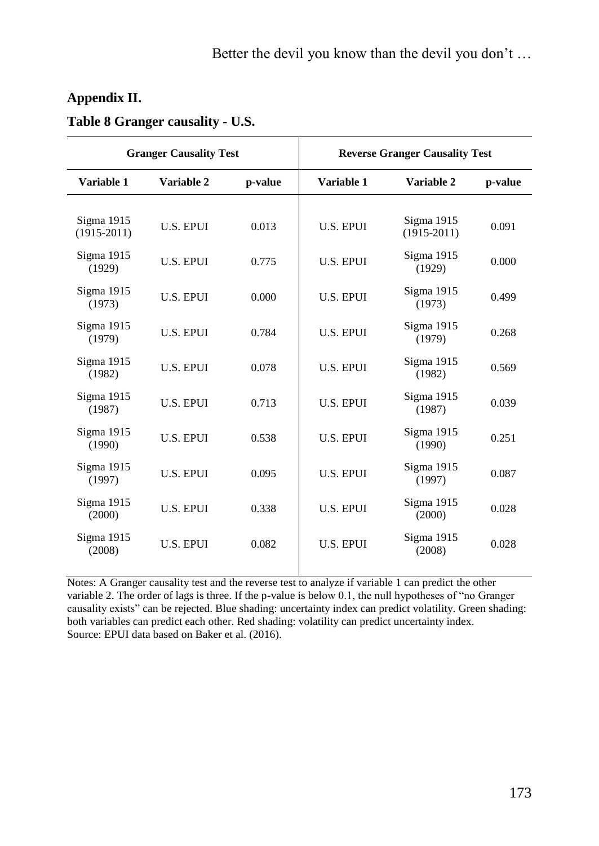# **Appendix II.**

|                               | <b>Granger Causality Test</b> |         | <b>Reverse Granger Causality Test</b> |                               |         |  |  |
|-------------------------------|-------------------------------|---------|---------------------------------------|-------------------------------|---------|--|--|
| Variable 1                    | Variable 2                    | p-value | Variable 1                            | Variable 2                    | p-value |  |  |
| Sigma 1915<br>$(1915 - 2011)$ | <b>U.S. EPUI</b>              | 0.013   | <b>U.S. EPUI</b>                      | Sigma 1915<br>$(1915 - 2011)$ | 0.091   |  |  |
| Sigma 1915<br>(1929)          | <b>U.S. EPUI</b>              | 0.775   | <b>U.S. EPUI</b>                      | Sigma 1915<br>(1929)          | 0.000   |  |  |
| Sigma 1915<br>(1973)          | <b>U.S. EPUI</b>              | 0.000   | <b>U.S. EPUI</b>                      | Sigma 1915<br>(1973)          | 0.499   |  |  |
| Sigma 1915<br>(1979)          | <b>U.S. EPUI</b>              | 0.784   | <b>U.S. EPUI</b>                      | Sigma 1915<br>(1979)          | 0.268   |  |  |
| Sigma 1915<br>(1982)          | <b>U.S. EPUI</b>              | 0.078   | <b>U.S. EPUI</b>                      | Sigma 1915<br>(1982)          | 0.569   |  |  |
| Sigma 1915<br>(1987)          | U.S. EPUI                     | 0.713   | <b>U.S. EPUI</b>                      | Sigma 1915<br>(1987)          | 0.039   |  |  |
| Sigma 1915<br>(1990)          | <b>U.S. EPUI</b>              | 0.538   | <b>U.S. EPUI</b>                      | Sigma 1915<br>(1990)          | 0.251   |  |  |
| Sigma 1915<br>(1997)          | <b>U.S. EPUI</b>              | 0.095   | <b>U.S. EPUI</b>                      | Sigma 1915<br>(1997)          | 0.087   |  |  |
| Sigma 1915<br>(2000)          | <b>U.S. EPUI</b>              | 0.338   | <b>U.S. EPUI</b>                      | Sigma 1915<br>(2000)          | 0.028   |  |  |
| Sigma 1915<br>(2008)          | <b>U.S. EPUI</b>              | 0.082   | <b>U.S. EPUI</b>                      | Sigma 1915<br>(2008)          | 0.028   |  |  |
|                               |                               |         |                                       |                               |         |  |  |

Notes: A Granger causality test and the reverse test to analyze if variable 1 can predict the other variable 2. The order of lags is three. If the p-value is below 0.1, the null hypotheses of "no Granger causality exists" can be rejected. Blue shading: uncertainty index can predict volatility. Green shading: both variables can predict each other. Red shading: volatility can predict uncertainty index. Source: EPUI data based on Baker et al. (2016).